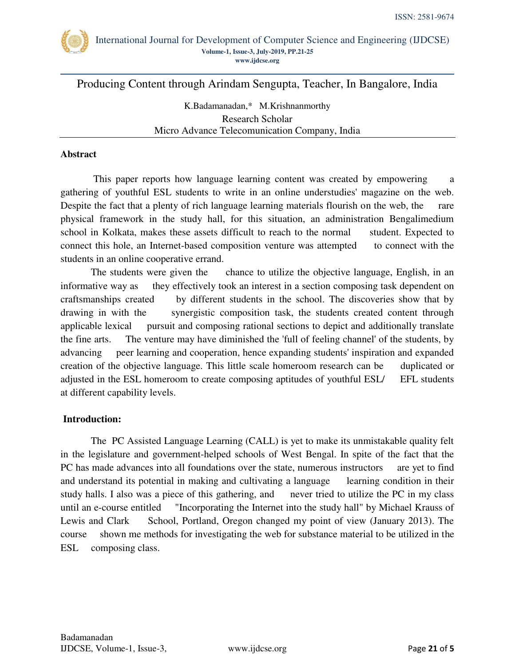

Producing Content through Arindam Sengupta, Teacher, In Bangalore, India

K.Badamanadan,\* M.Krishnanmorthy Research Scholar Micro Advance Telecomunication Company, India

#### **Abstract**

This paper reports how language learning content was created by empowering a gathering of youthful ESL students to write in an online understudies' magazine on the web. Despite the fact that a plenty of rich language learning materials flourish on the web, the rare physical framework in the study hall, for this situation, an administration Bengalimedium school in Kolkata, makes these assets difficult to reach to the normal student. Expected to connect this hole, an Internet-based composition venture was attempted to connect with the students in an online cooperative errand.

The students were given the chance to utilize the objective language, English, in an informative way as they effectively took an interest in a section composing task dependent on craftsmanships created by different students in the school. The discoveries show that by drawing in with the synergistic composition task, the students created content through applicable lexical pursuit and composing rational sections to depict and additionally translate the fine arts. The venture may have diminished the 'full of feeling channel' of the students, by advancing peer learning and cooperation, hence expanding students' inspiration and expanded creation of the objective language. This little scale homeroom research can be duplicated or adjusted in the ESL homeroom to create composing aptitudes of youthful ESL/ EFL students at different capability levels.

### **Introduction:**

The PC Assisted Language Learning (CALL) is yet to make its unmistakable quality felt in the legislature and government-helped schools of West Bengal. In spite of the fact that the PC has made advances into all foundations over the state, numerous instructors are yet to find and understand its potential in making and cultivating a language learning condition in their study halls. I also was a piece of this gathering, and never tried to utilize the PC in my class until an e-course entitled "Incorporating the Internet into the study hall" by Michael Krauss of Lewis and Clark School, Portland, Oregon changed my point of view (January 2013). The course shown me methods for investigating the web for substance material to be utilized in the ESL composing class.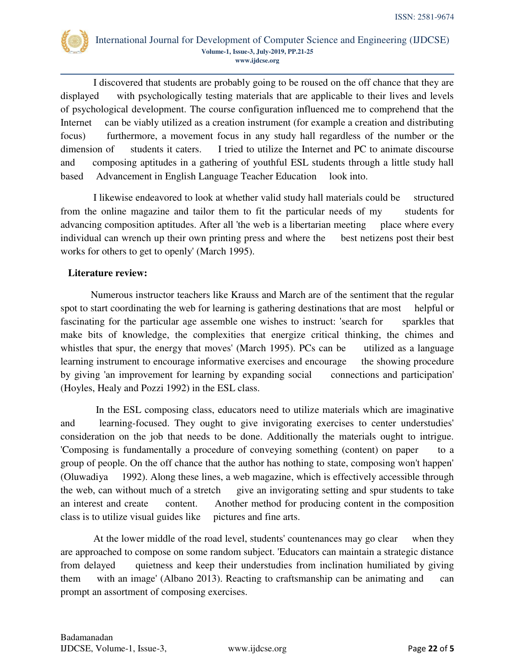

 I discovered that students are probably going to be roused on the off chance that they are displayed with psychologically testing materials that are applicable to their lives and levels of psychological development. The course configuration influenced me to comprehend that the Internet can be viably utilized as a creation instrument (for example a creation and distributing focus) furthermore, a movement focus in any study hall regardless of the number or the dimension of students it caters. I tried to utilize the Internet and PC to animate discourse and composing aptitudes in a gathering of youthful ESL students through a little study hall based Advancement in English Language Teacher Education look into.

 I likewise endeavored to look at whether valid study hall materials could be structured from the online magazine and tailor them to fit the particular needs of my students for advancing composition aptitudes. After all 'the web is a libertarian meeting place where every individual can wrench up their own printing press and where the best netizens post their best works for others to get to openly' (March 1995).

## **Literature review:**

Numerous instructor teachers like Krauss and March are of the sentiment that the regular spot to start coordinating the web for learning is gathering destinations that are most helpful or fascinating for the particular age assemble one wishes to instruct: 'search for sparkles that make bits of knowledge, the complexities that energize critical thinking, the chimes and whistles that spur, the energy that moves' (March 1995). PCs can be utilized as a language learning instrument to encourage informative exercises and encourage the showing procedure by giving 'an improvement for learning by expanding social connections and participation' (Hoyles, Healy and Pozzi 1992) in the ESL class.

 In the ESL composing class, educators need to utilize materials which are imaginative and learning-focused. They ought to give invigorating exercises to center understudies' consideration on the job that needs to be done. Additionally the materials ought to intrigue. 'Composing is fundamentally a procedure of conveying something (content) on paper to a group of people. On the off chance that the author has nothing to state, composing won't happen' (Oluwadiya 1992). Along these lines, a web magazine, which is effectively accessible through the web, can without much of a stretch give an invigorating setting and spur students to take an interest and create content. Another method for producing content in the composition class is to utilize visual guides like pictures and fine arts.

 At the lower middle of the road level, students' countenances may go clear when they are approached to compose on some random subject. 'Educators can maintain a strategic distance from delayed quietness and keep their understudies from inclination humiliated by giving them with an image' (Albano 2013). Reacting to craftsmanship can be animating and can prompt an assortment of composing exercises.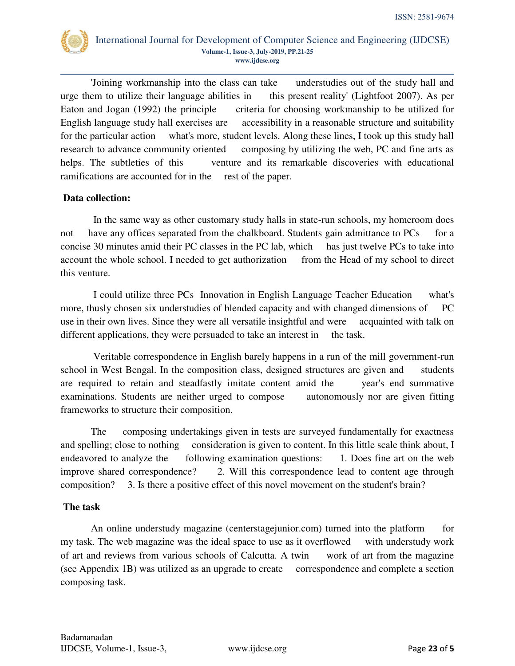

'Joining workmanship into the class can take understudies out of the study hall and urge them to utilize their language abilities in this present reality' (Lightfoot 2007). As per Eaton and Jogan (1992) the principle criteria for choosing workmanship to be utilized for English language study hall exercises are accessibility in a reasonable structure and suitability for the particular action what's more, student levels. Along these lines, I took up this study hall research to advance community oriented composing by utilizing the web, PC and fine arts as helps. The subtleties of this venture and its remarkable discoveries with educational ramifications are accounted for in the rest of the paper.

## **Data collection:**

 In the same way as other customary study halls in state-run schools, my homeroom does not have any offices separated from the chalkboard. Students gain admittance to PCs for a concise 30 minutes amid their PC classes in the PC lab, which has just twelve PCs to take into account the whole school. I needed to get authorization from the Head of my school to direct this venture.

 I could utilize three PCs Innovation in English Language Teacher Education what's more, thusly chosen six understudies of blended capacity and with changed dimensions of PC use in their own lives. Since they were all versatile insightful and were acquainted with talk on different applications, they were persuaded to take an interest in the task.

 Veritable correspondence in English barely happens in a run of the mill government-run school in West Bengal. In the composition class, designed structures are given and students are required to retain and steadfastly imitate content amid the year's end summative examinations. Students are neither urged to compose autonomously nor are given fitting frameworks to structure their composition.

The composing undertakings given in tests are surveyed fundamentally for exactness and spelling; close to nothing consideration is given to content. In this little scale think about, I endeavored to analyze the following examination questions: 1. Does fine art on the web improve shared correspondence? 2. Will this correspondence lead to content age through composition? 3. Is there a positive effect of this novel movement on the student's brain?

# **The task**

 An online understudy magazine (centerstagejunior.com) turned into the platform for my task. The web magazine was the ideal space to use as it overflowed with understudy work of art and reviews from various schools of Calcutta. A twin work of art from the magazine (see Appendix 1B) was utilized as an upgrade to create correspondence and complete a section composing task.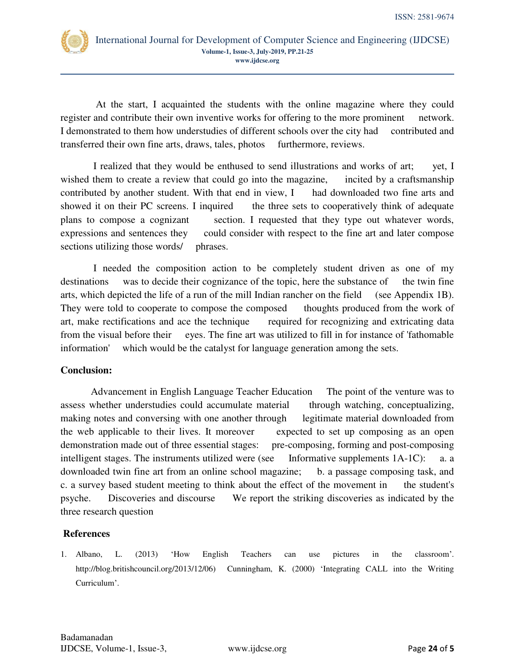

 At the start, I acquainted the students with the online magazine where they could register and contribute their own inventive works for offering to the more prominent network. I demonstrated to them how understudies of different schools over the city had contributed and transferred their own fine arts, draws, tales, photos furthermore, reviews.

 I realized that they would be enthused to send illustrations and works of art; yet, I wished them to create a review that could go into the magazine, incited by a craftsmanship contributed by another student. With that end in view, I had downloaded two fine arts and showed it on their PC screens. I inquired the three sets to cooperatively think of adequate plans to compose a cognizant section. I requested that they type out whatever words, expressions and sentences they could consider with respect to the fine art and later compose sections utilizing those words/ phrases.

 I needed the composition action to be completely student driven as one of my destinations was to decide their cognizance of the topic, here the substance of the twin fine arts, which depicted the life of a run of the mill Indian rancher on the field (see Appendix 1B). They were told to cooperate to compose the composed thoughts produced from the work of art, make rectifications and ace the technique required for recognizing and extricating data from the visual before their eyes. The fine art was utilized to fill in for instance of 'fathomable information' which would be the catalyst for language generation among the sets.

### **Conclusion:**

Advancement in English Language Teacher Education The point of the venture was to assess whether understudies could accumulate material through watching, conceptualizing, making notes and conversing with one another through legitimate material downloaded from the web applicable to their lives. It moreover expected to set up composing as an open demonstration made out of three essential stages: pre-composing, forming and post-composing intelligent stages. The instruments utilized were (see Informative supplements 1A-1C): a. a downloaded twin fine art from an online school magazine; b. a passage composing task, and c. a survey based student meeting to think about the effect of the movement in the student's psyche. Discoveries and discourse We report the striking discoveries as indicated by the three research question

# **References**

1. Albano, L. (2013) 'How English Teachers can use pictures in the classroom'. http://blog.britishcouncil.org/2013/12/06) Cunningham, K. (2000) 'Integrating CALL into the Writing Curriculum'.